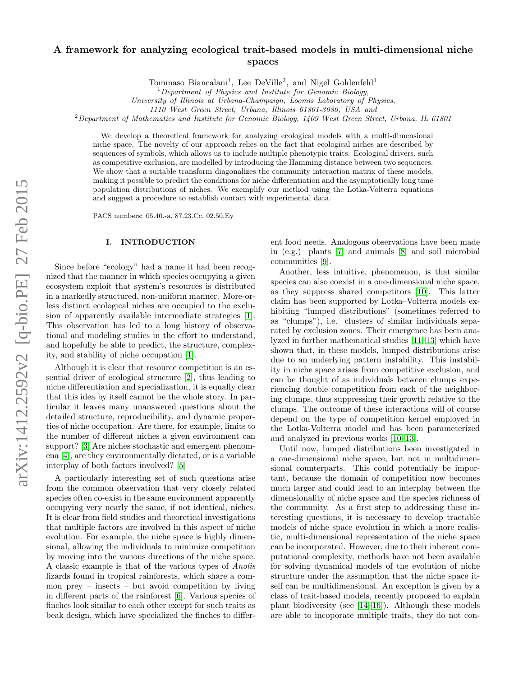# arXiv:1412.2592v2 [q-bio.PE] 27 Feb 2015 arXiv:1412.2592v2 [q-bio.PE] 27 Feb 2015

# A framework for analyzing ecological trait-based models in multi-dimensional niche spaces

Tommaso Biancalani<sup>1</sup>, Lee DeVille<sup>2</sup>, and Nigel Goldenfeld<sup>1</sup>

University of Illinois at Urbana-Champaign, Loomis Laboratory of Physics,

1110 West Green Street, Urbana, Illinois 61801-3080, USA and

 $2$  Department of Mathematics and Institute for Genomic Biology, 1409 West Green Street, Urbana, IL 61801

We develop a theoretical framework for analyzing ecological models with a multi-dimensional niche space. The novelty of our approach relies on the fact that ecological niches are described by sequences of symbols, which allows us to include multiple phenotypic traits. Ecological drivers, such as competitive exclusion, are modelled by introducing the Hamming distance between two sequences. We show that a suitable transform diagonalizes the community interaction matrix of these models, making it possible to predict the conditions for niche differentiation and the asymptotically long time population distributions of niches. We exemplify our method using the Lotka-Volterra equations and suggest a procedure to establish contact with experimental data.

PACS numbers: 05.40.-a, 87.23.Cc, 02.50.Ey

# I. INTRODUCTION

Since before "ecology" had a name it had been recognized that the manner in which species occupying a given ecosystem exploit that system's resources is distributed in a markedly structured, non-uniform manner. More-orless distinct ecological niches are occupied to the exclusion of apparently available intermediate strategies [\[1\]](#page-7-0). This observation has led to a long history of observational and modeling studies in the effort to understand, and hopefully be able to predict, the structure, complexity, and stability of niche occupation [\[1\]](#page-7-0).

Although it is clear that resource competition is an essential driver of ecological structure [\[2\]](#page-7-1), thus leading to niche differentiation and specialization, it is equally clear that this idea by itself cannot be the whole story. In particular it leaves many unanswered questions about the detailed structure, reproducibility, and dynamic properties of niche occupation. Are there, for example, limits to the number of different niches a given environment can support? [\[3\]](#page-7-2) Are niches stochastic and emergent phenomena [\[4\]](#page-7-3), are they environmentally dictated, or is a variable interplay of both factors involved? [\[5\]](#page-7-4)

A particularly interesting set of such questions arise from the common observation that very closely related species often co-exist in the same environment apparently occupying very nearly the same, if not identical, niches. It is clear from field studies and theoretical investigations that multiple factors are involved in this aspect of niche evolution. For example, the niche space is highly dimensional, allowing the individuals to minimize competition by moving into the various directions of the niche space. A classic example is that of the various types of Anolis lizards found in tropical rainforests, which share a common prey – insects – but avoid competition by living in different parts of the rainforest [\[6\]](#page-7-5). Various species of finches look similar to each other except for such traits as beak design, which have specialized the finches to different food needs. Analogous observations have been made in (e.g.) plants [\[7\]](#page-7-6) and animals [\[8\]](#page-7-7) and soil microbial communities [\[9\]](#page-7-8).

Another, less intuitive, phenomenon, is that similar species can also coexist in a one-dimensional niche space, as they suppress shared competitors [\[10\]](#page-7-9). This latter claim has been supported by Lotka–Volterra models exhibiting "lumped distributions" (sometimes referred to as "clumps"), i.e. clusters of similar individuals separated by exclusion zones. Their emergence has been analyzed in further mathematical studies [\[11–](#page-7-10)[13\]](#page-7-11) which have shown that, in these models, lumped distributions arise due to an underlying pattern instability. This instability in niche space arises from competitive exclusion, and can be thought of as individuals between clumps experiencing double competition from each of the neighboring clumps, thus suppressing their growth relative to the clumps. The outcome of these interactions will of course depend on the type of competition kernel employed in the Lotka-Volterra model and has been parameterized and analyzed in previous works [\[10–](#page-7-9)[13\]](#page-7-11).

Until now, lumped distributions been investigated in a one-dimensional niche space, but not in multidimensional counterparts. This could potentially be important, because the domain of competition now becomes much larger and could lead to an interplay between the dimensionality of niche space and the species richness of the community. As a first step to addressing these interesting questions, it is necessary to develop tractable models of niche space evolution in which a more realistic, multi-dimensional representation of the niche space can be incorporated. However, due to their inherent computational complexity, methods have not been available for solving dynamical models of the evolution of niche structure under the assumption that the niche space itself can be multidimensional. An exception is given by a class of trait-based models, recently proposed to explain plant biodiversity (see [\[14–](#page-7-12)[16\]](#page-7-13)). Although these models are able to incoporate multiple traits, they do not con-

 $1$  Department of Physics and Institute for Genomic Biology,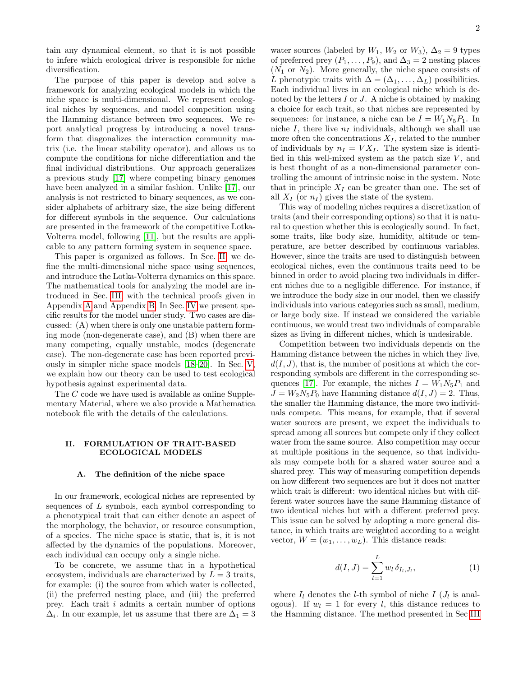tain any dynamical element, so that it is not possible to infere which ecological driver is responsible for niche diversification.

The purpose of this paper is develop and solve a framework for analyzing ecological models in which the niche space is multi-dimensional. We represent ecological niches by sequences, and model competition using the Hamming distance between two sequences. We report analytical progress by introducing a novel transform that diagonalizes the interaction community matrix (i.e. the linear stability operator), and allows us to compute the conditions for niche differentiation and the final individual distributions. Our approach generalizes a previous study [\[17\]](#page-7-14) where competing binary genomes have been analyzed in a similar fashion. Unlike [\[17\]](#page-7-14), our analysis is not restricted to binary sequences, as we consider alphabets of arbitrary size, the size being different for different symbols in the sequence. Our calculations are presented in the framework of the competitive Lotka-Volterra model, following [\[11\]](#page-7-10), but the results are applicable to any pattern forming system in sequence space.

This paper is organized as follows. In Sec. [II,](#page-1-0) we define the multi-dimensional niche space using sequences, and introduce the Lotka-Volterra dynamics on this space. The mathematical tools for analyzing the model are introduced in Sec. [III,](#page-2-0) with the technical proofs given in Appendix [A](#page-8-0) and Appendix [B.](#page-9-0) In Sec. [IV](#page-4-0) we present specific results for the model under study. Two cases are discussed: (A) when there is only one unstable pattern forming mode (non-degenerate case), and (B) when there are many competing, equally unstable, modes (degenerate case). The non-degenerate case has been reported previously in simpler niche space models [\[18](#page-7-15)[–20\]](#page-7-16). In Sec. [V,](#page-5-0) we explain how our theory can be used to test ecological hypothesis against experimental data.

The C code we have used is available as online Supplementary Material, where we also provide a Mathematica notebook file with the details of the calculations.

# <span id="page-1-0"></span>II. FORMULATION OF TRAIT-BASED ECOLOGICAL MODELS

# A. The definition of the niche space

In our framework, ecological niches are represented by sequences of  $L$  symbols, each symbol corresponding to a phenotypical trait that can either denote an aspect of the morphology, the behavior, or resource consumption, of a species. The niche space is static, that is, it is not affected by the dynamics of the populations. Moreover, each individual can occupy only a single niche.

To be concrete, we assume that in a hypothetical ecosystem, individuals are characterized by  $L = 3$  traits, for example: (i) the source from which water is collected, (ii) the preferred nesting place, and (iii) the preferred prey. Each trait i admits a certain number of options  $\Delta_i$ . In our example, let us assume that there are  $\Delta_1 = 3$ 

water sources (labeled by  $W_1$ ,  $W_2$  or  $W_3$ ),  $\Delta_2 = 9$  types of preferred prey  $(P_1, \ldots, P_9)$ , and  $\Delta_3 = 2$  nesting places  $(N_1 \text{ or } N_2)$ . More generally, the niche space consists of L phenotypic traits with  $\Delta = (\Delta_1, \ldots, \Delta_L)$  possibilities. Each individual lives in an ecological niche which is denoted by the letters  $I$  or  $J$ . A niche is obtained by making a choice for each trait, so that niches are represented by sequences: for instance, a niche can be  $I = W_1 N_5 P_1$ . In niche I, there live  $n_I$  individuals, although we shall use more often the concentrations  $X_I$ , related to the number of individuals by  $n_I = V X_I$ . The system size is identified in this well-mixed system as the patch size  $V$ , and is best thought of as a non-dimensional parameter controlling the amount of intrinsic noise in the system. Note that in principle  $X_I$  can be greater than one. The set of all  $X_I$  (or  $n_I$ ) gives the state of the system.

This way of modeling niches requires a discretization of traits (and their corresponding options) so that it is natural to question whether this is ecologically sound. In fact, some traits, like body size, humidity, altitude or temperature, are better described by continuous variables. However, since the traits are used to distinguish between ecological niches, even the continuous traits need to be binned in order to avoid placing two individuals in different niches due to a negligible difference. For instance, if we introduce the body size in our model, then we classify individuals into various categories such as small, medium, or large body size. If instead we considered the variable continuous, we would treat two individuals of comparable sizes as living in different niches, which is undesirable.

Competition between two individuals depends on the Hamming distance between the niches in which they live,  $d(I, J)$ , that is, the number of positions at which the corresponding symbols are different in the corresponding se-quences [\[17\]](#page-7-14). For example, the niches  $I = W_1 N_5 P_1$  and  $J = W_2 N_5 P_0$  have Hamming distance  $d(I, J) = 2$ . Thus, the smaller the Hamming distance, the more two individuals compete. This means, for example, that if several water sources are present, we expect the individuals to spread among all sources but compete only if they collect water from the same source. Also competition may occur at multiple positions in the sequence, so that individuals may compete both for a shared water source and a shared prey. This way of measuring competition depends on how different two sequences are but it does not matter which trait is different: two identical niches but with different water sources have the same Hamming distance of two identical niches but with a different preferred prey. This issue can be solved by adopting a more general distance, in which traits are weighted according to a weight vector,  $W = (w_1, \ldots, w_L)$ . This distance reads:

<span id="page-1-1"></span>
$$
d(I, J) = \sum_{l=1}^{L} w_l \, \delta_{I_l, J_l}, \tag{1}
$$

where  $I_l$  denotes the *l*-th symbol of niche  $I$  ( $J_l$  is analogous). If  $w_l = 1$  for every l, this distance reduces to the Hamming distance. The method presented in Sec [III](#page-2-0)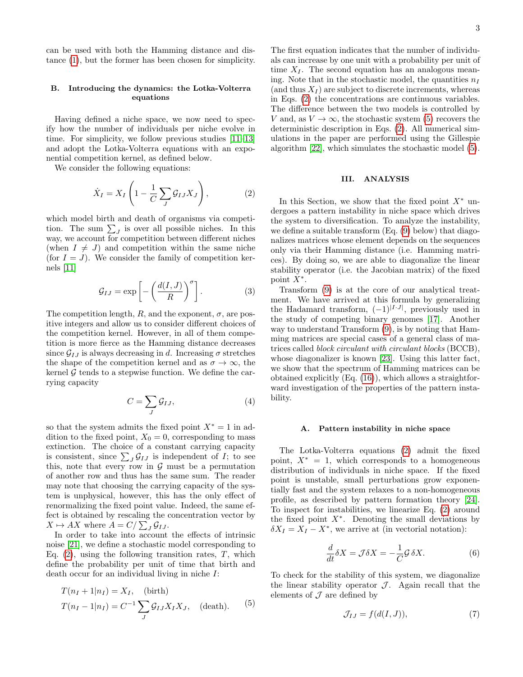can be used with both the Hamming distance and distance [\(1\)](#page-1-1), but the former has been chosen for simplicity.

# B. Introducing the dynamics: the Lotka-Volterra equations

Having defined a niche space, we now need to specify how the number of individuals per niche evolve in time. For simplicity, we follow previous studies [\[11](#page-7-10)[–13\]](#page-7-11) and adopt the Lotka-Volterra equations with an exponential competition kernel, as defined below.

We consider the following equations:

<span id="page-2-1"></span>
$$
\dot{X}_I = X_I \left( 1 - \frac{1}{C} \sum_J \mathcal{G}_{IJ} X_J \right),\tag{2}
$$

which model birth and death of organisms via competition. The sum  $\sum_{J}$  is over all possible niches. In this way, we account for competition between different niches (when  $I \neq J$ ) and competition within the same niche (for  $I = J$ ). We consider the family of competition kernels [\[11\]](#page-7-10)

$$
\mathcal{G}_{IJ} = \exp\left[-\left(\frac{d(I,J)}{R}\right)^{\sigma}\right].\tag{3}
$$

The competition length,  $R$ , and the exponent,  $\sigma$ , are positive integers and allow us to consider different choices of the competition kernel. However, in all of them competition is more fierce as the Hamming distance decreases since  $\mathcal{G}_{IJ}$  is always decreasing in d. Increasing  $\sigma$  stretches the shape of the competition kernel and as  $\sigma \to \infty$ , the kernel  $\mathcal G$  tends to a stepwise function. We define the carrying capacity

<span id="page-2-5"></span>
$$
C = \sum_{J} \mathcal{G}_{IJ},\tag{4}
$$

so that the system admits the fixed point  $X^* = 1$  in addition to the fixed point,  $X_0 = 0$ , corresponding to mass extinction. The choice of a constant carrying capacity is consistent, since  $\sum_{J} \mathcal{G}_{IJ}$  is independent of  $I$ ; to see this, note that every row in  $\mathcal G$  must be a permutation of another row and thus has the same sum. The reader may note that choosing the carrying capacity of the system is unphysical, however, this has the only effect of renormalizing the fixed point value. Indeed, the same effect is obtained by rescaling the concentration vector by  $X \mapsto AX$  where  $A = C/\sum_{J} \mathcal{G}_{IJ}$ .

In order to take into account the effects of intrinsic noise [\[21\]](#page-7-17), we define a stochastic model corresponding to Eq.  $(2)$ , using the following transition rates, T, which define the probability per unit of time that birth and death occur for an individual living in niche I:

<span id="page-2-2"></span>
$$
T(n_I + 1|n_I) = X_I, \quad \text{(birth)}
$$
  
 
$$
T(n_I - 1|n_I) = C^{-1} \sum_J \mathcal{G}_{IJ} X_I X_J, \quad \text{(death)}.
$$
 (5)

The first equation indicates that the number of individuals can increase by one unit with a probability per unit of time  $X_I$ . The second equation has an analogous meaning. Note that in the stochastic model, the quantities  $n_I$ (and thus  $X_I$ ) are subject to discrete increments, whereas in Eqs. [\(2\)](#page-2-1) the concentrations are continuous variables. The difference between the two models is controlled by V and, as  $V \to \infty$ , the stochastic system [\(5\)](#page-2-2) recovers the deterministic description in Eqs. [\(2\)](#page-2-1). All numerical simulations in the paper are performed using the Gillespie algorithm [\[22\]](#page-7-18), which simulates the stochastic model [\(5\)](#page-2-2).

# <span id="page-2-0"></span>III. ANALYSIS

In this Section, we show that the fixed point  $X^*$  undergoes a pattern instability in niche space which drives the system to diversification. To analyze the instability, we define a suitable transform (Eq. [\(9\)](#page-3-0) below) that diagonalizes matrices whose element depends on the sequences only via their Hamming distance (i.e. Hamming matrices). By doing so, we are able to diagonalize the linear stability operator (i.e. the Jacobian matrix) of the fixed point  $\hat{X}^*$ .

Transform [\(9\)](#page-3-0) is at the core of our analytical treatment. We have arrived at this formula by generalizing the Hadamard transform,  $(-1)^{|I \cdot J|}$ , previously used in the study of competing binary genomes [\[17\]](#page-7-14). Another way to understand Transform [\(9\)](#page-3-0), is by noting that Hamming matrices are special cases of a general class of matrices called block circulant with circulant blocks (BCCB), whose diagonalizer is known [\[23\]](#page-7-19). Using this latter fact, we show that the spectrum of Hamming matrices can be obtained explicitly (Eq. [\(16\)](#page-3-1)), which allows a straightforward investigation of the properties of the pattern instability.

### A. Pattern instability in niche space

The Lotka-Volterra equations [\(2\)](#page-2-1) admit the fixed point,  $X^* = 1$ , which corresponds to a homogeneous distribution of individuals in niche space. If the fixed point is unstable, small perturbations grow exponentially fast and the system relaxes to a non-homogeneous profile, as described by pattern formation theory [\[24\]](#page-7-20). To inspect for instabilities, we linearize Eq. [\(2\)](#page-2-1) around the fixed point  $X^*$ . Denoting the small deviations by  $\delta X_I = X_I - X^*$ , we arrive at (in vectorial notation):

<span id="page-2-3"></span>
$$
\frac{d}{dt}\delta X = \mathcal{J}\delta X = -\frac{1}{C}\mathcal{G}\,\delta X.\tag{6}
$$

To check for the stability of this system, we diagonalize the linear stability operator  $J$ . Again recall that the elements of  $\mathcal J$  are defined by

<span id="page-2-4"></span>
$$
\mathcal{J}_{IJ} = f(d(I, J)),\tag{7}
$$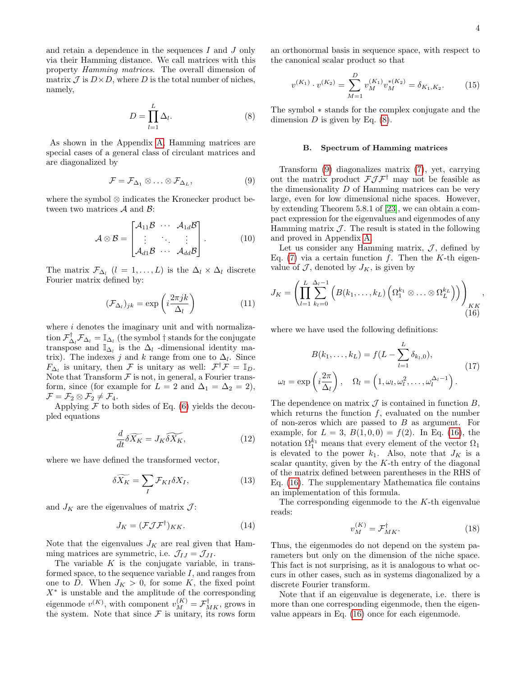and retain a dependence in the sequences  $I$  and  $J$  only via their Hamming distance. We call matrices with this property Hamming matrices. The overall dimension of matrix  $\mathcal J$  is  $D \times D$ , where D is the total number of niches, namely,

<span id="page-3-2"></span>
$$
D = \prod_{l=1}^{L} \Delta_l.
$$
 (8)

As shown in the Appendix [A,](#page-8-0) Hamming matrices are special cases of a general class of circulant matrices and are diagonalized by

<span id="page-3-0"></span>
$$
\mathcal{F} = \mathcal{F}_{\Delta_1} \otimes \ldots \otimes \mathcal{F}_{\Delta_L}, \tag{9}
$$

where the symbol ⊗ indicates the Kronecker product between two matrices  $A$  and  $B$ :

$$
\mathcal{A} \otimes \mathcal{B} = \begin{bmatrix} \mathcal{A}_{11} \mathcal{B} & \cdots & \mathcal{A}_{1d} \mathcal{B} \\ \vdots & \ddots & \vdots \\ \mathcal{A}_{d1} \mathcal{B} & \cdots & \mathcal{A}_{dd} \mathcal{B} \end{bmatrix} .
$$
 (10)

The matrix  $\mathcal{F}_{\Delta_l}$   $(l = 1, ..., L)$  is the  $\Delta_l \times \Delta_l$  discrete Fourier matrix defined by:

$$
(\mathcal{F}_{\Delta_l})_{jk} = \exp\left(i\frac{2\pi jk}{\Delta_l}\right) \tag{11}
$$

where  $i$  denotes the imaginary unit and with normalization  $\mathcal{F}_{\Delta_l}^{\dagger} \mathcal{F}_{\Delta_l} = \mathbb{I}_{\Delta_l}$  (the symbol  $\dagger$  stands for the conjugate transpose and  $\mathbb{I}_{\Delta_l}$  is the  $\Delta_l$  -dimensional identity matrix). The indexes j and k range from one to  $\Delta_l$ . Since  $F_{\Delta_l}$  is unitary, then F is unitary as well:  $\mathcal{F}^{\dagger} \mathcal{F} = \mathbb{I}_D$ . Note that Transform  $\mathcal F$  is not, in general, a Fourier transform, since (for example for  $L = 2$  and  $\Delta_1 = \Delta_2 = 2$ ),  $\mathcal{F} = \mathcal{F}_2 \otimes \mathcal{F}_2 \neq \mathcal{F}_4.$ 

Applying  $\mathcal F$  to both sides of Eq. [\(6\)](#page-2-3) yields the decoupled equations

$$
\frac{d}{dt}\delta\widetilde{X_K} = J_K \widetilde{\delta X_K},\tag{12}
$$

where we have defined the transformed vector,

$$
\delta \widetilde{X_K} = \sum_I \mathcal{F}_{KI} \delta X_I,\tag{13}
$$

and  $J_K$  are the eigenvalues of matrix  $\mathcal{J}$ :

$$
J_K = (\mathcal{F}\mathcal{J}\mathcal{F}^\dagger)_{KK}.\tag{14}
$$

Note that the eigenvalues  ${\cal J}_K$  are real given that Hamming matrices are symmetric, i.e.  $\mathcal{J}_{IJ} = \mathcal{J}_{JI}$ .

The variable  $K$  is the conjugate variable, in transformed space, to the sequence variable  $I$ , and ranges from one to D. When  $J_K > 0$ , for some K, the fixed point  $X^*$  is unstable and the amplitude of the corresponding eigenmode  $v^{(K)}$ , with component  $v^{(K)}_M = \mathcal{F}^\dagger_{MK}$ , grows in the system. Note that since  $\mathcal F$  is unitary, its rows form

an orthonormal basis in sequence space, with respect to the canonical scalar product so that

<span id="page-3-4"></span>
$$
v^{(K_1)} \cdot v^{(K_2)} = \sum_{M=1}^{D} v_M^{(K_1)} v_M^{*(K_2)} = \delta_{K_1, K_2}.
$$
 (15)

The symbol ∗ stands for the complex conjugate and the dimension  $D$  is given by Eq.  $(8)$ .

### <span id="page-3-5"></span>B. Spectrum of Hamming matrices

Transform [\(9\)](#page-3-0) diagonalizes matrix [\(7\)](#page-2-4), yet, carrying out the matrix product  $\mathcal{FJ}\mathcal{F}^{\dagger}$  may not be feasible as the dimensionality D of Hamming matrices can be very large, even for low dimensional niche spaces. However, by extending Theorem 5.8.1 of [\[23\]](#page-7-19), we can obtain a compact expression for the eigenvalues and eigenmodes of any Hamming matrix  $\mathcal{J}$ . The result is stated in the following and proved in Appendix [A.](#page-8-0)

Let us consider any Hamming matrix,  $J$ , defined by Eq. [\(7\)](#page-2-4) via a certain function  $f$ . Then the K-th eigenvalue of  $J$ , denoted by  $J_K$ , is given by

<span id="page-3-1"></span>
$$
J_K = \left( \prod_{l=1}^L \sum_{k_l=0}^{\Delta_l - 1} \left( B(k_1, \dots, k_L) \left( \Omega_1^{k_1} \otimes \dots \otimes \Omega_L^{k_L} \right) \right) \right)_{KK}, \tag{16}
$$

where we have used the following definitions:

<span id="page-3-6"></span>
$$
B(k_1, \ldots, k_L) = f(L - \sum_{l=1}^L \delta_{k_l, 0}),
$$

$$
\omega_l = \exp\left(i\frac{2\pi}{\Delta_l}\right), \quad \Omega_l = \left(1, \omega_l, \omega_l^2, \ldots, \omega_l^{\Delta_l - 1}\right).
$$
 (17)

The dependence on matrix  $\mathcal J$  is contained in function  $B$ , which returns the function  $f$ , evaluated on the number of non-zeros which are passed to  $B$  as argument. For example, for  $L = 3$ ,  $B(1, 0, 0) = f(2)$ . In Eq. [\(16\)](#page-3-1), the notation  $\Omega_1^{k_1}$  means that every element of the vector  $\Omega_1$ is elevated to the power  $k_1$ . Also, note that  $J_K$  is a scalar quantity, given by the  $K$ -th entry of the diagonal of the matrix defined between parentheses in the RHS of Eq. [\(16\)](#page-3-1). The supplementary Mathematica file contains an implementation of this formula.

The corresponding eigenmode to the  $K$ -th eigenvalue reads:

<span id="page-3-3"></span>
$$
v_M^{(K)} = \mathcal{F}_{MK}^{\dagger}.
$$
 (18)

Thus, the eigenmodes do not depend on the system parameters but only on the dimension of the niche space. This fact is not surprising, as it is analogous to what occurs in other cases, such as in systems diagonalized by a discrete Fourier transform.

Note that if an eigenvalue is degenerate, i.e. there is more than one corresponding eigenmode, then the eigenvalue appears in Eq. [\(16\)](#page-3-1) once for each eigenmode.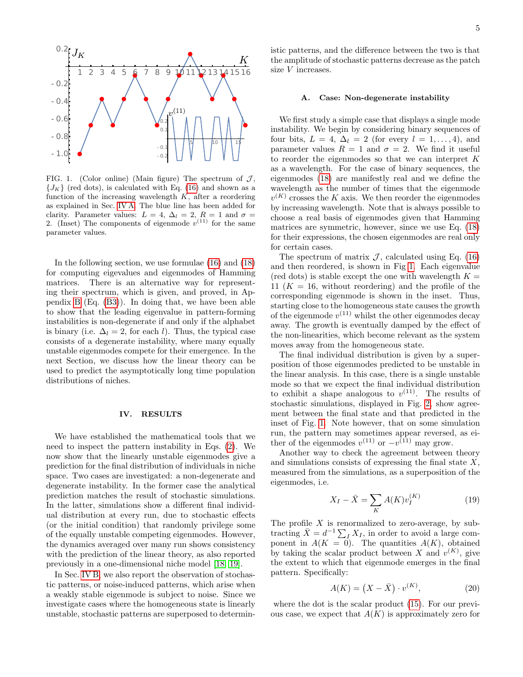

<span id="page-4-2"></span>FIG. 1. (Color online) (Main figure) The spectrum of  $J$ ,  ${J_K}$  (red dots), is calculated with Eq. [\(16\)](#page-3-1) and shown as a function of the increasing wavelength  $K$ , after a reordering as explained in Sec. [IV A.](#page-4-1) The blue line has been added for clarity. Parameter values:  $L = 4$ ,  $\Delta_l = 2$ ,  $R = 1$  and  $\sigma =$ 2. (Inset) The components of eigenmode  $v^{(11)}$  for the same parameter values.

In the following section, we use formulae [\(16\)](#page-3-1) and [\(18\)](#page-3-3) for computing eigevalues and eigenmodes of Hamming matrices. There is an alternative way for representing their spectrum, which is given, and proved, in Appendix [B](#page-9-0) (Eq. [\(B3\)](#page-9-1)). In doing that, we have been able to show that the leading eigenvalue in pattern-forming instabilities is non-degenerate if and only if the alphabet is binary (i.e.  $\Delta_l = 2$ , for each l). Thus, the typical case consists of a degenerate instability, where many equally unstable eigenmodes compete for their emergence. In the next Section, we discuss how the linear theory can be used to predict the asymptotically long time population distributions of niches.

# <span id="page-4-0"></span>IV. RESULTS

We have established the mathematical tools that we need to inspect the pattern instability in Eqs. [\(2\)](#page-2-1). We now show that the linearly unstable eigenmodes give a prediction for the final distribution of individuals in niche space. Two cases are investigated: a non-degenerate and degenerate instability. In the former case the analytical prediction matches the result of stochastic simulations. In the latter, simulations show a different final individual distribution at every run, due to stochastic effects (or the initial condition) that randomly privilege some of the equally unstable competing eigenmodes. However, the dynamics averaged over many run shows consistency with the prediction of the linear theory, as also reported previously in a one-dimensional niche model [\[18,](#page-7-15) [19\]](#page-7-21).

In Sec. [IV B,](#page-5-1) we also report the observation of stochastic patterns, or noise-induced patterns, which arise when a weakly stable eigenmode is subject to noise. Since we investigate cases where the homogeneous state is linearly unstable, stochastic patterns are superposed to determin-

### <span id="page-4-1"></span>A. Case: Non-degenerate instability

We first study a simple case that displays a single mode instability. We begin by considering binary sequences of four bits,  $L = 4$ ,  $\Delta_l = 2$  (for every  $l = 1, \ldots, 4$ ), and parameter values  $R = 1$  and  $\sigma = 2$ . We find it useful to reorder the eigenmodes so that we can interpret K as a wavelength. For the case of binary sequences, the eigenmodes [\(18\)](#page-3-3) are manifestly real and we define the wavelength as the number of times that the eigenmode  $v^{(K)}$  crosses the K axis. We then reorder the eigenmodes by increasing wavelength. Note that is always possible to choose a real basis of eigenmodes given that Hamming matrices are symmetric, however, since we use Eq. [\(18\)](#page-3-3) for their expressions, the chosen eigenmodes are real only for certain cases.

The spectrum of matrix  $\mathcal{J}$ , calculated using Eq. [\(16\)](#page-3-1) and then reordered, is shown in Fig [1.](#page-4-2) Each eigenvalue (red dots) is stable except the one with wavelength  $K =$ 11  $(K = 16$ , without reordering) and the profile of the corresponding eigenmode is shown in the inset. Thus, starting close to the homogeneous state causes the growth of the eigenmode  $v^{(11)}$  whilst the other eigenmodes decay away. The growth is eventually damped by the effect of the non-linearities, which become relevant as the system moves away from the homogeneous state.

The final individual distribution is given by a superposition of those eigenmodes predicted to be unstable in the linear analysis. In this case, there is a single unstable mode so that we expect the final individual distribution to exhibit a shape analogous to  $v^{(11)}$ . The results of stochastic simulations, displayed in Fig. [2,](#page-5-2) show agreement between the final state and that predicted in the inset of Fig. [1.](#page-4-2) Note however, that on some simulation run, the pattern may sometimes appear reversed, as either of the eigenmodes  $v^{(11)}$  or  $-v^{(11)}$  may grow.

Another way to check the agreement between theory and simulations consists of expressing the final state X, measured from the simulations, as a superposition of the eigenmodes, i.e.

$$
X_{I} - \bar{X} = \sum_{K} A(K)v_{I}^{(K)}
$$
 (19)

The profile  $X$  is renormalized to zero-average, by subtracting  $\bar{X} = d^{-1} \sum_{I} X_{I}$ , in order to avoid a large component in  $A(K = 0)$ . The quantities  $A(K)$ , obtained by taking the scalar product between X and  $v^{(K)}$ , give the extent to which that eigenmode emerges in the final pattern. Specifically:

<span id="page-4-3"></span>
$$
A(K) = (X - \bar{X}) \cdot v^{(K)},
$$
\n(20)

where the dot is the scalar product [\(15\)](#page-3-4). For our previous case, we expect that  $A(K)$  is approximately zero for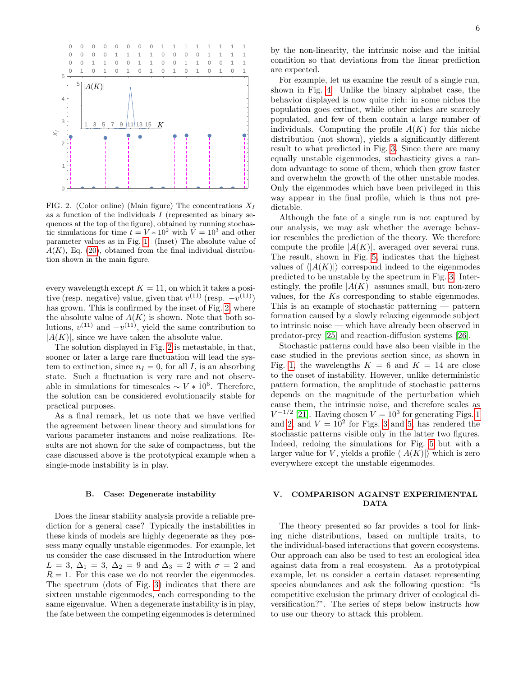

<span id="page-5-2"></span>FIG. 2. (Color online) (Main figure) The concentrations  $X_I$ as a function of the individuals  $I$  (represented as binary sequences at the top of the figure), obtained by running stochastic simulations for time  $t = V * 10^2$  with  $V = 10^3$  and other parameter values as in Fig. [1.](#page-4-2) (Inset) The absolute value of  $A(K)$ , Eq. [\(20\)](#page-4-3), obtained from the final individual distribution shown in the main figure.

every wavelength except  $K = 11$ , on which it takes a positive (resp. negative) value, given that  $v^{(11)}$  (resp.  $-v^{(11)}$ ) has grown. This is confirmed by the inset of Fig. [2,](#page-5-2) where the absolute value of  $A(K)$  is shown. Note that both solutions,  $v^{(11)}$  and  $-v^{(11)}$ , yield the same contribution to  $|A(K)|$ , since we have taken the absolute value.

The solution displayed in Fig. [2](#page-5-2) is metastable, in that, sooner or later a large rare fluctuation will lead the system to extinction, since  $n_I = 0$ , for all I, is an absorbing state. Such a fluctuation is very rare and not observable in simulations for timescales  $\sim V * 10^6$ . Therefore, the solution can be considered evolutionarily stable for practical purposes.

As a final remark, let us note that we have verified the agreement between linear theory and simulations for various parameter instances and noise realizations. Results are not shown for the sake of compactness, but the case discussed above is the prototypical example when a single-mode instability is in play.

### <span id="page-5-1"></span>B. Case: Degenerate instability

Does the linear stability analysis provide a reliable prediction for a general case? Typically the instabilities in these kinds of models are highly degenerate as they possess many equally unstable eigenmodes. For example, let us consider the case discussed in the Introduction where  $L = 3$ ,  $\Delta_1 = 3$ ,  $\Delta_2 = 9$  and  $\Delta_3 = 2$  with  $\sigma = 2$  and  $R = 1$ . For this case we do not reorder the eigenmodes. The spectrum (dots of Fig. [3\)](#page-6-0) indicates that there are sixteen unstable eigenmodes, each corresponding to the same eigenvalue. When a degenerate instability is in play, the fate between the competing eigenmodes is determined

by the non-linearity, the intrinsic noise and the initial condition so that deviations from the linear prediction are expected.

For example, let us examine the result of a single run, shown in Fig. [4.](#page-6-1) Unlike the binary alphabet case, the behavior displayed is now quite rich: in some niches the population goes extinct, while other niches are scarcely populated, and few of them contain a large number of individuals. Computing the profile  $A(K)$  for this niche distribution (not shown), yields a significantly different result to what predicted in Fig. [3.](#page-6-0) Since there are many equally unstable eigenmodes, stochasticity gives a random advantage to some of them, which then grow faster and overwhelm the growth of the other unstable modes. Only the eigenmodes which have been privileged in this way appear in the final profile, which is thus not predictable.

Although the fate of a single run is not captured by our analysis, we may ask whether the average behavior resembles the prediction of the theory. We therefore compute the profile  $|A(K)|$ , averaged over several runs. The result, shown in Fig. [5,](#page-6-2) indicates that the highest values of  $\langle |A(K)| \rangle$  correspond indeed to the eigenmodes predicted to be unstable by the spectrum in Fig. [3.](#page-6-0) Interestingly, the profile  $|A(K)|$  assumes small, but non-zero values, for the Ks corresponding to stable eigenmodes. This is an example of stochastic patterning — pattern formation caused by a slowly relaxing eigenmode subject to intrinsic noise — which have already been observed in predator-prey [\[25\]](#page-7-22) and reaction-diffusion systems [\[26\]](#page-8-1).

Stochastic patterns could have also been visible in the case studied in the previous section since, as shown in Fig. [1,](#page-4-2) the wavelengths  $K = 6$  and  $K = 14$  are close to the onset of instability. However, unlike deterministic pattern formation, the amplitude of stochastic patterns depends on the magnitude of the perturbation which cause them, the intrinsic noise, and therefore scales as  $V^{-1/2}$  [\[21\]](#page-7-17). Having chosen  $V = 10^3$  $V = 10^3$  $V = 10^3$  for generating Figs. 1 and [2,](#page-5-2) and  $V = 10^2$  for Figs. [3](#page-6-0) and [5,](#page-6-2) has rendered the stochastic patterns visible only in the latter two figures. Indeed, redoing the simulations for Fig. [5](#page-6-2) but with a larger value for V, yields a profile  $\langle |A(K)| \rangle$  which is zero everywhere except the unstable eigenmodes.

# <span id="page-5-0"></span>V. COMPARISON AGAINST EXPERIMENTAL DATA

The theory presented so far provides a tool for linking niche distributions, based on multiple traits, to the individual-based interactions that govern ecosystems. Our approach can also be used to test an ecological idea against data from a real ecosystem. As a prototypical example, let us consider a certain dataset representing species abundances and ask the following question: "Is competitive exclusion the primary driver of ecological diversification?". The series of steps below instructs how to use our theory to attack this problem.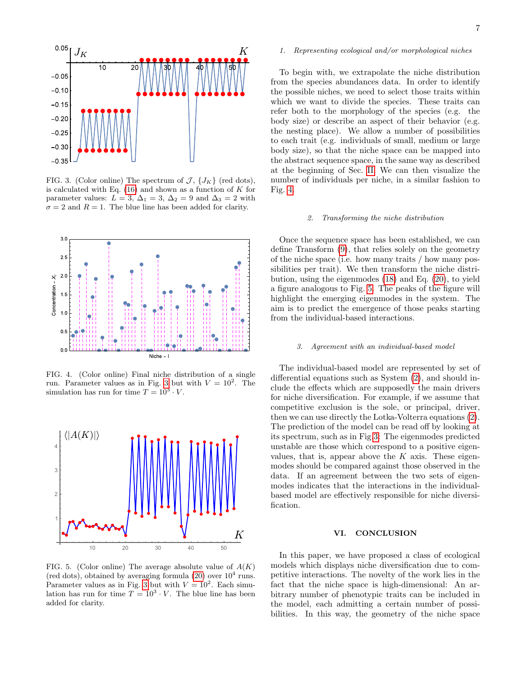

<span id="page-6-0"></span>FIG. 3. (Color online) The spectrum of  $\mathcal{J}, \{J_K\}$  (red dots), is calculated with Eq.  $(16)$  and shown as a function of K for parameter values:  $L = 3$ ,  $\Delta_1 = 3$ ,  $\Delta_2 = 9$  and  $\Delta_3 = 2$  with  $\sigma = 2$  and  $R = 1$ . The blue line has been added for clarity.



<span id="page-6-1"></span>FIG. 4. (Color online) Final niche distribution of a single run. Parameter values as in Fig. [3](#page-6-0) but with  $V = 10^2$ . The simulation has run for time  $T = 10^3 \cdot V$ .



<span id="page-6-2"></span>FIG. 5. (Color online) The average absolute value of  $A(K)$ (red dots), obtained by averaging formula  $(20)$  over  $10<sup>4</sup>$  runs. Parameter values as in Fig. [3](#page-6-0) but with  $V = 10^2$ . Each simulation has run for time  $T = 10^3 \cdot V$ . The blue line has been added for clarity.

### 1. Representing ecological and/or morphological niches

To begin with, we extrapolate the niche distribution from the species abundances data. In order to identify the possible niches, we need to select those traits within which we want to divide the species. These traits can refer both to the morphology of the species (e.g. the body size) or describe an aspect of their behavior (e.g. the nesting place). We allow a number of possibilities to each trait (e.g. individuals of small, medium or large body size), so that the niche space can be mapped into the abstract sequence space, in the same way as described at the beginning of Sec. [II.](#page-1-0) We can then visualize the number of individuals per niche, in a similar fashion to Fig. [4.](#page-6-1)

### 2. Transforming the niche distribution

Once the sequence space has been established, we can define Transform [\(9\)](#page-3-0), that relies solely on the geometry of the niche space (i.e. how many traits / how many possibilities per trait). We then transform the niche distribution, using the eigenmodes [\(18\)](#page-3-3) and Eq. [\(20\)](#page-4-3), to yield a figure analogous to Fig. [5.](#page-6-2) The peaks of the figure will highlight the emerging eigenmodes in the system. The aim is to predict the emergence of those peaks starting from the individual-based interactions.

### 3. Agreement with an individual-based model

The individual-based model are represented by set of differential equations such as System [\(2\)](#page-2-1), and should include the effects which are supposedly the main drivers for niche diversification. For example, if we assume that competitive exclusion is the sole, or principal, driver, then we can use directly the Lotka-Volterra equations [\(2\)](#page-2-1). The prediction of the model can be read off by looking at its spectrum, such as in Fig[.3:](#page-6-0) The eigenmodes predicted unstable are those which correspond to a positive eigenvalues, that is, appear above the  $K$  axis. These eigenmodes should be compared against those observed in the data. If an agreement between the two sets of eigenmodes indicates that the interactions in the individualbased model are effectively responsible for niche diversification.

# VI. CONCLUSION

In this paper, we have proposed a class of ecological models which displays niche diversification due to competitive interactions. The novelty of the work lies in the fact that the niche space is high-dimensional: An arbitrary number of phenotypic traits can be included in the model, each admitting a certain number of possibilities. In this way, the geometry of the niche space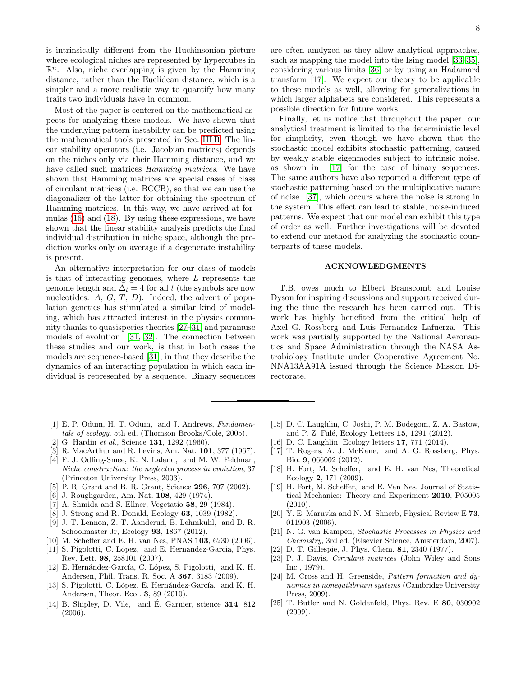is intrinsically different from the Huchinsonian picture where ecological niches are represented by hypercubes in  $\mathbb{R}^n$ . Also, niche overlapping is given by the Hamming distance, rather than the Euclidean distance, which is a simpler and a more realistic way to quantify how many traits two individuals have in common.

Most of the paper is centered on the mathematical aspects for analyzing these models. We have shown that the underlying pattern instability can be predicted using the mathematical tools presented in Sec. [III B.](#page-3-5) The linear stability operators (i.e. Jacobian matrices) depends on the niches only via their Hamming distance, and we have called such matrices *Hamming matrices*. We have shown that Hamming matrices are special cases of class of circulant matrices (i.e. BCCB), so that we can use the diagonalizer of the latter for obtaining the spectrum of Hamming matrices. In this way, we have arrived at formulas [\(16\)](#page-3-1) and [\(18\)](#page-3-3). By using these expressions, we have shown that the linear stability analysis predicts the final individual distribution in niche space, although the prediction works only on average if a degenerate instability is present.

An alternative interpretation for our class of models is that of interacting genomes, where  $L$  represents the genome length and  $\Delta_l = 4$  for all l (the symbols are now nucleotides:  $A, G, T, D$ . Indeed, the advent of population genetics has stimulated a similar kind of modeling, which has attracted interest in the physics community thanks to quasispecies theories [\[27](#page-8-2)[–31\]](#page-8-3) and paramuse models of evolution [\[31,](#page-8-3) [32\]](#page-8-4). The connection between these studies and our work, is that in both cases the models are sequence-based [\[31\]](#page-8-3), in that they describe the dynamics of an interacting population in which each individual is represented by a sequence. Binary sequences

8

are often analyzed as they allow analytical approaches, such as mapping the model into the Ising model [\[33–](#page-8-5)[35\]](#page-8-6), considering various limits [\[36\]](#page-8-7) or by using an Hadamard transform [\[17\]](#page-7-14). We expect our theory to be applicable to these models as well, allowing for generalizations in which larger alphabets are considered. This represents a possible direction for future works.

Finally, let us notice that throughout the paper, our analytical treatment is limited to the deterministic level for simplicity, even though we have shown that the stochastic model exhibits stochastic patterning, caused by weakly stable eigenmodes subject to intrinsic noise, as shown in [\[17\]](#page-7-14) for the case of binary sequences. The same authors have also reported a different type of stochastic patterning based on the multiplicative nature of noise [\[37\]](#page-8-8), which occurs where the noise is strong in the system. This effect can lead to stable, noise-induced patterns. We expect that our model can exhibit this type of order as well. Further investigations will be devoted to extend our method for analyzing the stochastic counterparts of these models.

### ACKNOWLEDGMENTS

T.B. owes much to Elbert Branscomb and Louise Dyson for inspiring discussions and support received during the time the research has been carried out. This work has highly benefited from the critical help of Axel G. Rossberg and Luis Fernandez Lafuerza. This work was partially supported by the National Aeronautics and Space Administration through the NASA Astrobiology Institute under Cooperative Agreement No. NNA13AA91A issued through the Science Mission Directorate.

- <span id="page-7-0"></span>[1] E. P. Odum, H. T. Odum, and J. Andrews, Fundamentals of ecology, 5th ed. (Thomson Brooks/Cole, 2005).
- <span id="page-7-1"></span>[2] G. Hardin et al., Science 131, 1292 (1960).
- <span id="page-7-2"></span>[3] R. MacArthur and R. Levins, Am. Nat. 101, 377 (1967).
- <span id="page-7-3"></span>[4] F. J. Odling-Smee, K. N. Laland, and M. W. Feldman, Niche construction: the neglected process in evolution, 37 (Princeton University Press, 2003).
- <span id="page-7-4"></span>[5] P. R. Grant and B. R. Grant, Science 296, 707 (2002).
- <span id="page-7-5"></span>[6] J. Roughgarden, Am. Nat. 108, 429 (1974).
- <span id="page-7-6"></span>[7] A. Shmida and S. Ellner, Vegetatio 58, 29 (1984).
- <span id="page-7-7"></span>[8] J. Strong and R. Donald, Ecology 63, 1039 (1982).
- <span id="page-7-8"></span>[9] J. T. Lennon, Z. T. Aanderud, B. Lehmkuhl, and D. R. Schoolmaster Jr, Ecology 93, 1867 (2012).
- <span id="page-7-9"></span>[10] M. Scheffer and E. H. van Nes, PNAS 103, 6230 (2006).
- <span id="page-7-10"></span>[11] S. Pigolotti, C. López, and E. Hernandez-Garcia, Phys. Rev. Lett. 98, 258101 (2007).
- [12] E. Hernández-García, C. López, S. Pigolotti, and K. H. Andersen, Phil. Trans. R. Soc. A 367, 3183 (2009).
- <span id="page-7-11"></span>[13] S. Pigolotti, C. López, E. Hernández-García, and K. H. Andersen, Theor. Ecol. 3, 89 (2010).
- <span id="page-7-12"></span>[14] B. Shipley, D. Vile, and  $\dot{E}$ . Garnier, science **314**, 812 (2006).
- [15] D. C. Laughlin, C. Joshi, P. M. Bodegom, Z. A. Bastow, and P. Z. Fulé, Ecology Letters 15, 1291 (2012).
- <span id="page-7-13"></span>[16] D. C. Laughlin, Ecology letters 17, 771 (2014).
- <span id="page-7-14"></span>[17] T. Rogers, A. J. McKane, and A. G. Rossberg, Phys. Bio. 9, 066002 (2012).
- <span id="page-7-15"></span>[18] H. Fort, M. Scheffer, and E. H. van Nes, Theoretical Ecology 2, 171 (2009).
- <span id="page-7-21"></span>[19] H. Fort, M. Scheffer, and E. Van Nes, Journal of Statistical Mechanics: Theory and Experiment 2010, P05005  $(2010).$
- <span id="page-7-16"></span>[20] Y. E. Maruvka and N. M. Shnerb, Physical Review E 73, 011903 (2006).
- <span id="page-7-17"></span>[21] N. G. van Kampen, Stochastic Processes in Physics and Chemistry, 3rd ed. (Elsevier Science, Amsterdam, 2007).
- <span id="page-7-18"></span>[22] D. T. Gillespie, J. Phys. Chem. 81, 2340 (1977).
- <span id="page-7-19"></span>[23] P. J. Davis, Circulant matrices (John Wiley and Sons Inc., 1979).
- <span id="page-7-20"></span>[24] M. Cross and H. Greenside, Pattern formation and dynamics in nonequilibrium systems (Cambridge University Press, 2009).
- <span id="page-7-22"></span>[25] T. Butler and N. Goldenfeld, Phys. Rev. E 80, 030902 (2009).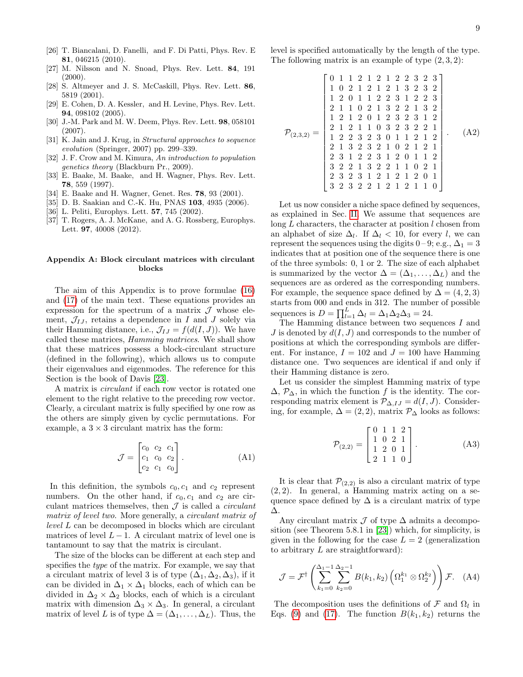- <span id="page-8-1"></span>[26] T. Biancalani, D. Fanelli, and F. Di Patti, Phys. Rev. E 81, 046215 (2010).
- <span id="page-8-2"></span>[27] M. Nilsson and N. Snoad, Phys. Rev. Lett. 84, 191  $(2000)$ .
- [28] S. Altmeyer and J. S. McCaskill, Phys. Rev. Lett. 86, 5819 (2001).
- [29] E. Cohen, D. A. Kessler, and H. Levine, Phys. Rev. Lett. 94, 098102 (2005).
- [30] J.-M. Park and M. W. Deem, Phys. Rev. Lett. 98, 058101 (2007).
- <span id="page-8-3"></span>[31] K. Jain and J. Krug, in *Structural approaches to sequence* evolution (Springer, 2007) pp. 299–339.
- <span id="page-8-4"></span>[32] J. F. Crow and M. Kimura, An introduction to population genetics theory (Blackburn Pr., 2009).
- <span id="page-8-5"></span>[33] E. Baake, M. Baake, and H. Wagner, Phys. Rev. Lett. 78, 559 (1997).
- [34] E. Baake and H. Wagner, Genet. Res. 78, 93 (2001).
- <span id="page-8-6"></span>[35] D. B. Saakian and C.-K. Hu, PNAS 103, 4935 (2006).
- <span id="page-8-7"></span>[36] L. Peliti, Europhys. Lett. 57, 745 (2002).
- <span id="page-8-8"></span>[37] T. Rogers, A. J. McKane, and A. G. Rossberg, Europhys. Lett. 97, 40008 (2012).

# <span id="page-8-0"></span>Appendix A: Block circulant matrices with circulant blocks

The aim of this Appendix is to prove formulae [\(16\)](#page-3-1) and [\(17\)](#page-3-6) of the main text. These equations provides an expression for the spectrum of a matrix  $\mathcal J$  whose element,  $\mathcal{J}_{IJ}$ , retains a dependence in I and J solely via their Hamming distance, i.e.,  $\mathcal{J}_{IJ} = f(d(I, J))$ . We have called these matrices, Hamming matrices. We shall show that these matrices possess a block-circulant structure (defined in the following), which allows us to compute their eigenvalues and eigenmodes. The reference for this Section is the book of Davis [\[23\]](#page-7-19).

A matrix is circulant if each row vector is rotated one element to the right relative to the preceding row vector. Clearly, a circulant matrix is fully specified by one row as the others are simply given by cyclic permutations. For example, a  $3 \times 3$  circulant matrix has the form:

$$
\mathcal{J} = \begin{bmatrix} c_0 & c_2 & c_1 \\ c_1 & c_0 & c_2 \\ c_2 & c_1 & c_0 \end{bmatrix} .
$$
 (A1)

In this definition, the symbols  $c_0, c_1$  and  $c_2$  represent numbers. On the other hand, if  $c_0, c_1$  and  $c_2$  are circulant matrices themselves, then  $\mathcal I$  is called a *circulant* matrix of level two. More generally, a circulant matrix of level L can be decomposed in blocks which are circulant matrices of level  $L - 1$ . A circulant matrix of level one is tantamount to say that the matrix is circulant.

The size of the blocks can be different at each step and specifies the type of the matrix. For example, we say that a circulant matrix of level 3 is of type  $(\Delta_1, \Delta_2, \Delta_3)$ , if it can be divided in  $\Delta_1 \times \Delta_1$  blocks, each of which can be divided in  $\Delta_2 \times \Delta_2$  blocks, each of which is a circulant matrix with dimension  $\Delta_3 \times \Delta_3$ . In general, a circulant matrix of level L is of type  $\Delta = (\Delta_1, \ldots, \Delta_L)$ . Thus, the level is specified automatically by the length of the type. The following matrix is an example of type  $(2,3,2)$ :

$$
\mathcal{P}_{(2,3,2)} = \begin{bmatrix} 0 & 1 & 1 & 2 & 1 & 2 & 1 & 2 & 2 & 3 & 2 & 3 & 2 \\ 1 & 0 & 2 & 1 & 2 & 1 & 2 & 1 & 3 & 2 & 3 & 2 \\ 1 & 2 & 0 & 1 & 1 & 2 & 2 & 3 & 1 & 2 & 2 & 3 \\ 2 & 1 & 1 & 0 & 2 & 1 & 3 & 2 & 2 & 1 & 3 & 2 \\ 1 & 2 & 1 & 2 & 0 & 1 & 2 & 3 & 2 & 3 & 1 & 2 \\ 2 & 1 & 2 & 1 & 1 & 0 & 3 & 2 & 3 & 2 & 2 & 1 \\ 1 & 2 & 2 & 3 & 2 & 3 & 0 & 1 & 1 & 2 & 1 & 2 \\ 2 & 1 & 3 & 2 & 3 & 2 & 1 & 0 & 2 & 1 & 2 & 1 \\ 2 & 3 & 1 & 2 & 2 & 3 & 1 & 2 & 0 & 1 & 1 & 2 \\ 3 & 2 & 2 & 1 & 3 & 2 & 2 & 1 & 1 & 0 & 2 & 1 \\ 3 & 2 & 3 & 2 & 3 & 1 & 2 & 1 & 2 & 1 & 2 & 0 & 1 \\ 3 & 2 & 3 & 2 & 2 & 1 & 2 & 1 & 2 & 1 & 1 & 0 \end{bmatrix} . (A2)
$$

Let us now consider a niche space defined by sequences, as explained in Sec. [II.](#page-1-0) We assume that sequences are long  $L$  characters, the character at position  $l$  chosen from an alphabet of size  $\Delta_l$ . If  $\Delta_l$  < 10, for every l, we can represent the sequences using the digits 0 – 9; e.g.,  $\Delta_1 = 3$ indicates that at position one of the sequence there is one of the three symbols: 0, 1 or 2. The size of each alphabet is summarized by the vector  $\Delta = (\Delta_1, \ldots, \Delta_L)$  and the sequences are as ordered as the corresponding numbers. For example, the sequence space defined by  $\Delta = (4, 2, 3)$ starts from 000 and ends in 312. The number of possible sequences is  $D = \prod_{l=1}^{L} \Delta_l = \Delta_1 \Delta_2 \Delta_3 = 24.$ 

The Hamming distance between two sequences I and J is denoted by  $d(I, J)$  and corresponds to the number of positions at which the corresponding symbols are different. For instance,  $I = 102$  and  $J = 100$  have Hamming distance one. Two sequences are identical if and only if their Hamming distance is zero.

Let us consider the simplest Hamming matrix of type  $\Delta$ ,  $\mathcal{P}_{\Delta}$ , in which the function f is the identity. The corresponding matrix element is  $\mathcal{P}_{\Delta, IJ} = d(I, J)$ . Considering, for example,  $\Delta = (2, 2)$ , matrix  $\mathcal{P}_{\Delta}$  looks as follows:

<span id="page-8-9"></span>
$$
\mathcal{P}_{(2,2)} = \begin{bmatrix} 0 & 1 & 1 & 2 \\ 1 & 0 & 2 & 1 \\ 1 & 2 & 0 & 1 \\ 2 & 1 & 1 & 0 \end{bmatrix} .
$$
 (A3)

It is clear that  $\mathcal{P}_{(2,2)}$  is also a circulant matrix of type  $(2, 2)$ . In general, a Hamming matrix acting on a sequence space defined by  $\Delta$  is a circulant matrix of type ∆.

Any circulant matrix  $\mathcal J$  of type  $\Delta$  admits a decomposition (see Theorem 5.8.1 in [\[23\]](#page-7-19)) which, for simplicity, is given in the following for the case  $L = 2$  (generalization to arbitrary  $L$  are straightforward):

<span id="page-8-10"></span>
$$
\mathcal{J} = \mathcal{F}^{\dagger} \left( \sum_{k_1=0}^{\Delta_1 - 1} \sum_{k_2=0}^{\Delta_2 - 1} B(k_1, k_2) \left( \Omega_1^{k_1} \otimes \Omega_2^{k_2} \right) \right) \mathcal{F}. \quad (A4)
$$

The decomposition uses the definitions of  $\mathcal F$  and  $\Omega_l$  in Eqs. [\(9\)](#page-3-0) and [\(17\)](#page-3-6). The function  $B(k_1, k_2)$  returns the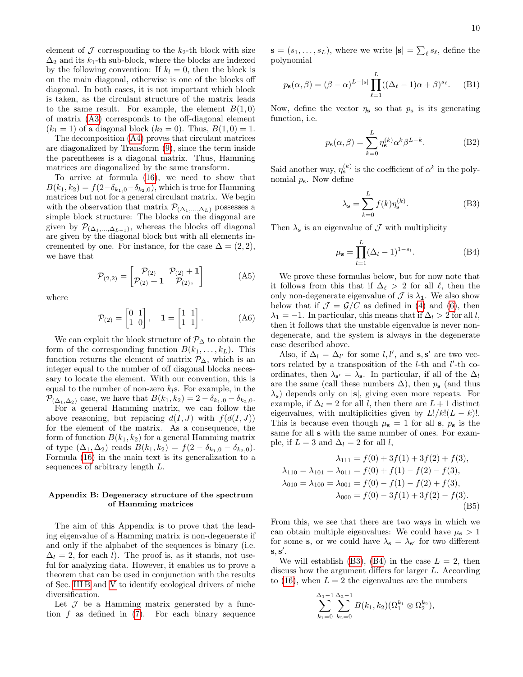element of  $\mathcal J$  corresponding to the  $k_2$ -th block with size  $\Delta_2$  and its k<sub>1</sub>-th sub-block, where the blocks are indexed by the following convention: If  $k_l = 0$ , then the block is on the main diagonal, otherwise is one of the blocks off diagonal. In both cases, it is not important which block is taken, as the circulant structure of the matrix leads to the same result. For example, the element  $B(1,0)$ of matrix [\(A3\)](#page-8-9) corresponds to the off-diagonal element  $(k_1 = 1)$  of a diagonal block  $(k_2 = 0)$ . Thus,  $B(1, 0) = 1$ .

The decomposition [\(A4\)](#page-8-10) proves that circulant matrices are diagonalized by Transform [\(9\)](#page-3-0), since the term inside the parentheses is a diagonal matrix. Thus, Hamming matrices are diagonalized by the same transform.

To arrive at formula [\(16\)](#page-3-1), we need to show that  $B(k_1, k_2) = f(2-\delta_{k_1,0}-\delta_{k_2,0}),$  which is true for Hamming matrices but not for a general circulant matrix. We begin with the observation that matrix  $\mathcal{P}_{(\Delta_1,\ldots,\Delta_L)}$  possesses a simple block structure: The blocks on the diagonal are given by  $\mathcal{P}_{(\Delta_1,...,\Delta_{L-1})}$ , whereas the blocks off diagonal are given by the diagonal block but with all elements incremented by one. For instance, for the case  $\Delta = (2, 2)$ , we have that

$$
\mathcal{P}_{(2,2)} = \begin{bmatrix} \mathcal{P}_{(2)} & \mathcal{P}_{(2)} + 1 \\ \mathcal{P}_{(2)} + 1 & \mathcal{P}_{(2)}, \end{bmatrix}
$$
 (A5)

where

$$
\mathcal{P}_{(2)} = \begin{bmatrix} 0 & 1 \\ 1 & 0 \end{bmatrix}, \quad \mathbf{1} = \begin{bmatrix} 1 & 1 \\ 1 & 1 \end{bmatrix}.
$$
 (A6)

We can exploit the block structure of  $\mathcal{P}_{\Delta}$  to obtain the form of the corresponding function  $B(k_1, \ldots, k_L)$ . This function returns the element of matrix  $\mathcal{P}_{\Delta}$ , which is an integer equal to the number of off diagonal blocks necessary to locate the element. With our convention, this is equal to the number of non-zero  $k_l$ s. For example, in the  $\mathcal{P}_{(\Delta_1,\Delta_2)}$  case, we have that  $B(k_1,k_2) = 2 - \delta_{k_1,0} - \delta_{k_2,0}$ .

For a general Hamming matrix, we can follow the above reasoning, but replacing  $d(I, J)$  with  $f(d(I, J))$ for the element of the matrix. As a consequence, the form of function  $B(k_1, k_2)$  for a general Hamming matrix of type  $(\Delta_1, \Delta_2)$  reads  $B(k_1, k_2) = f(2 - \delta_{k_1,0} - \delta_{k_2,0}).$ Formula [\(16\)](#page-3-1) in the main text is its generalization to a sequences of arbitrary length L.

# <span id="page-9-0"></span>Appendix B: Degeneracy structure of the spectrum of Hamming matrices

The aim of this Appendix is to prove that the leading eigenvalue of a Hamming matrix is non-degenerate if and only if the alphabet of the sequences is binary (i.e.  $\Delta_l = 2$ , for each l). The proof is, as it stands, not useful for analyzing data. However, it enables us to prove a theorem that can be used in conjunction with the results of Sec. [III B](#page-3-5) and [V](#page-5-0) to identify ecological drivers of niche diversification.

Let  $\mathcal J$  be a Hamming matrix generated by a function  $f$  as defined in  $(7)$ . For each binary sequence

 $\mathbf{s} = (s_1, \dots, s_L)$ , where we write  $|\mathbf{s}| = \sum_{\ell} s_{\ell}$ , define the polynomial

$$
p_{\mathbf{s}}(\alpha, \beta) = (\beta - \alpha)^{L - |\mathbf{s}|} \prod_{\ell=1}^{L} ((\Delta_{\ell} - 1)\alpha + \beta)^{s_{\ell}}.
$$
 (B1)

Now, define the vector  $\eta_s$  so that  $p_s$  is its generating function, i.e.

$$
p_{s}(\alpha, \beta) = \sum_{k=0}^{L} \eta_{s}^{(k)} \alpha^{k} \beta^{L-k}.
$$
 (B2)

Said another way,  $\eta_s^{(k)}$  is the coefficient of  $\alpha^k$  in the polynomial  $p_s$ . Now define

<span id="page-9-1"></span>
$$
\lambda_{\mathbf{s}} = \sum_{k=0}^{L} f(k) \eta_{\mathbf{s}}^{(k)}.
$$
 (B3)

Then  $\lambda_{\mathbf{s}}$  is an eigenvalue of  $\mathcal J$  with multiplicity

<span id="page-9-2"></span>
$$
\mu_{s} = \prod_{l=1}^{L} (\Delta_l - 1)^{1 - s_l}.
$$
 (B4)

We prove these formulas below, but for now note that it follows from this that if  $\Delta_{\ell} > 2$  for all  $\ell$ , then the only non-degenerate eigenvalue of  $\mathcal J$  is  $\lambda_1$ . We also show below that if  $\mathcal{J} = \mathcal{G}/C$  as defined in [\(4\)](#page-2-5) and [\(6\)](#page-2-3), then  $\lambda_1 = -1$ . In particular, this means that if  $\Delta_l > 2$  for all l, then it follows that the unstable eigenvalue is never nondegenerate, and the system is always in the degenerate case described above.

Also, if  $\Delta_l = \Delta_{l'}$  for some  $l, l'$ , and  $s, s'$  are two vectors related by a transposition of the  $l$ -th and  $l'$ -th coordinates, then  $\lambda_{s'} = \lambda_s$ . In particular, if all of the  $\Delta_l$ are the same (call these numbers  $\Delta$ ), then  $p_s$  (and thus  $\lambda$ <sub>s</sub>) depends only on  $|s|$ , giving even more repeats. For example, if  $\Delta_l = 2$  for all l, then there are  $L + 1$  distinct eigenvalues, with multiplicities given by  $L!/k!(L - k)!$ . This is because even though  $\mu_s = 1$  for all s,  $p_s$  is the same for all s with the same number of ones. For example, if  $L = 3$  and  $\Delta_l = 2$  for all l,

$$
\lambda_{111} = f(0) + 3f(1) + 3f(2) + f(3),
$$
  
\n
$$
\lambda_{110} = \lambda_{101} = \lambda_{011} = f(0) + f(1) - f(2) - f(3),
$$
  
\n
$$
\lambda_{010} = \lambda_{100} = \lambda_{001} = f(0) - f(1) - f(2) + f(3),
$$
  
\n
$$
\lambda_{000} = f(0) - 3f(1) + 3f(2) - f(3).
$$
  
\n(B5)

From this, we see that there are two ways in which we can obtain multiple eigenvalues: We could have  $\mu_{s} > 1$ for some s, or we could have  $\lambda_{\mathbf{s}} = \lambda_{\mathbf{s}'}$  for two different  $\mathbf{s}, \mathbf{s}'$ .

We will establish [\(B3\)](#page-9-1), [\(B4\)](#page-9-2) in the case  $L = 2$ , then discuss how the argument differs for larger L. According to [\(16\)](#page-3-1), when  $L = 2$  the eigenvalues are the numbers

$$
\sum_{k_1=0}^{\Delta_1-1} \sum_{k_2=0}^{\Delta_2-1} B(k_1,k_2) (\Omega_1^{k_1} \otimes \Omega_2^{k_2}),
$$